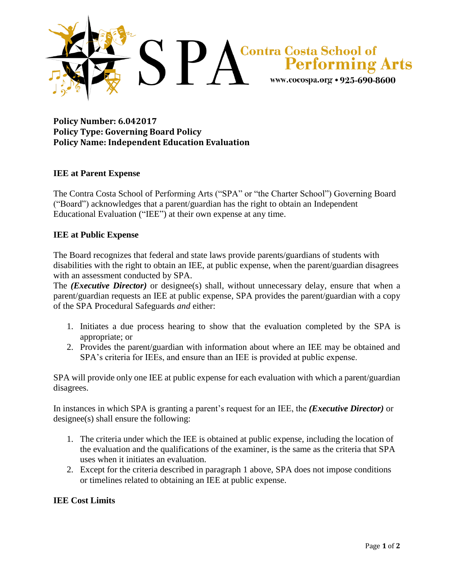

# **Policy Number: 6.042017 Policy Type: Governing Board Policy Policy Name: Independent Education Evaluation**

## **IEE at Parent Expense**

The Contra Costa School of Performing Arts ("SPA" or "the Charter School") Governing Board ("Board") acknowledges that a parent/guardian has the right to obtain an Independent Educational Evaluation ("IEE") at their own expense at any time.

#### **IEE at Public Expense**

The Board recognizes that federal and state laws provide parents/guardians of students with disabilities with the right to obtain an IEE, at public expense, when the parent/guardian disagrees with an assessment conducted by SPA.

The *(Executive Director)* or designee(s) shall, without unnecessary delay, ensure that when a parent/guardian requests an IEE at public expense, SPA provides the parent/guardian with a copy of the SPA Procedural Safeguards *and* either:

- 1. Initiates a due process hearing to show that the evaluation completed by the SPA is appropriate; or
- 2. Provides the parent/guardian with information about where an IEE may be obtained and SPA's criteria for IEEs, and ensure than an IEE is provided at public expense.

SPA will provide only one IEE at public expense for each evaluation with which a parent/guardian disagrees.

In instances in which SPA is granting a parent's request for an IEE, the *(Executive Director)* or designee(s) shall ensure the following:

- 1. The criteria under which the IEE is obtained at public expense, including the location of the evaluation and the qualifications of the examiner, is the same as the criteria that SPA uses when it initiates an evaluation.
- 2. Except for the criteria described in paragraph 1 above, SPA does not impose conditions or timelines related to obtaining an IEE at public expense.

## **IEE Cost Limits**